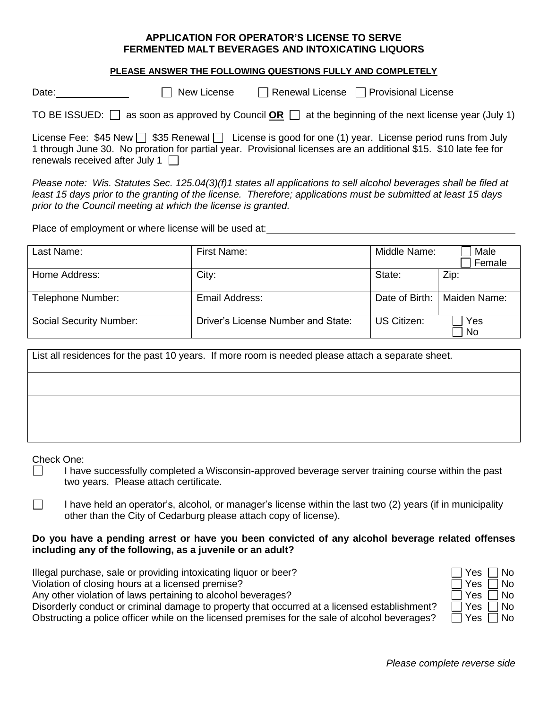#### **APPLICATION FOR OPERATOR'S LICENSE TO SERVE FERMENTED MALT BEVERAGES AND INTOXICATING LIQUORS**

#### **PLEASE ANSWER THE FOLLOWING QUESTIONS FULLY AND COMPLETELY**

Date: New License Renewal License Provisional License

TO BE ISSUED:  $\Box$  as soon as approved by Council **OR**  $\Box$  at the beginning of the next license year (July 1)

License Fee: \$45 New  $\Box$  \$35 Renewal  $\Box$  License is good for one (1) year. License period runs from July 1 through June 30. No proration for partial year. Provisional licenses are an additional \$15. \$10 late fee for renewals received after July 1  $\Box$ 

*Please note: Wis. Statutes Sec. 125.04(3)(f)1 states all applications to sell alcohol beverages shall be filed at least 15 days prior to the granting of the license. Therefore; applications must be submitted at least 15 days prior to the Council meeting at which the license is granted.*

Place of employment or where license will be used at:<br>
<u>Place of employment or where license will be used at:</u>

| Last Name:                     | First Name:                        | Middle Name:       | Male<br>Female   |
|--------------------------------|------------------------------------|--------------------|------------------|
| Home Address:                  | City:                              | State:             | Zip:             |
| Telephone Number:              | Email Address:                     | Date of Birth:     | Maiden Name:     |
| <b>Social Security Number:</b> | Driver's License Number and State: | <b>US Citizen:</b> | Yes<br><b>No</b> |

| List all residences for the past 10 years. If more room is needed please attach a separate sheet. |
|---------------------------------------------------------------------------------------------------|
|                                                                                                   |
|                                                                                                   |
|                                                                                                   |

Check One:

- $\Box$  I have successfully completed a Wisconsin-approved beverage server training course within the past two years. Please attach certificate.
- $\Box$ I have held an operator's, alcohol, or manager's license within the last two (2) years (if in municipality other than the City of Cedarburg please attach copy of license).

# **Do you have a pending arrest or have you been convicted of any alcohol beverage related offenses including any of the following, as a juvenile or an adult?**

| Illegal purchase, sale or providing intoxicating liquor or beer?                               | ΠYes ΠNo             |
|------------------------------------------------------------------------------------------------|----------------------|
| Violation of closing hours at a licensed premise?                                              | ∏ Yes ∏ No           |
| Any other violation of laws pertaining to alcohol beverages?                                   | ∏ Yes ∏ No           |
| Disorderly conduct or criminal damage to property that occurred at a licensed establishment?   | $\Box$ Yes $\Box$ No |
| Obstructing a police officer while on the licensed premises for the sale of alcohol beverages? | □ Yes<br>1 No        |